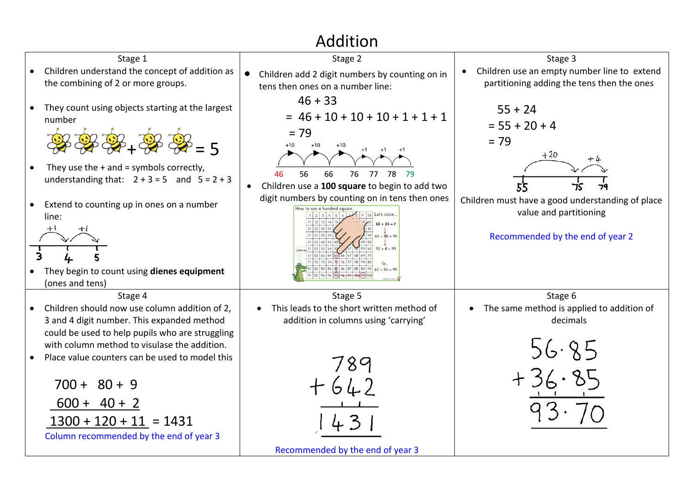## Addition

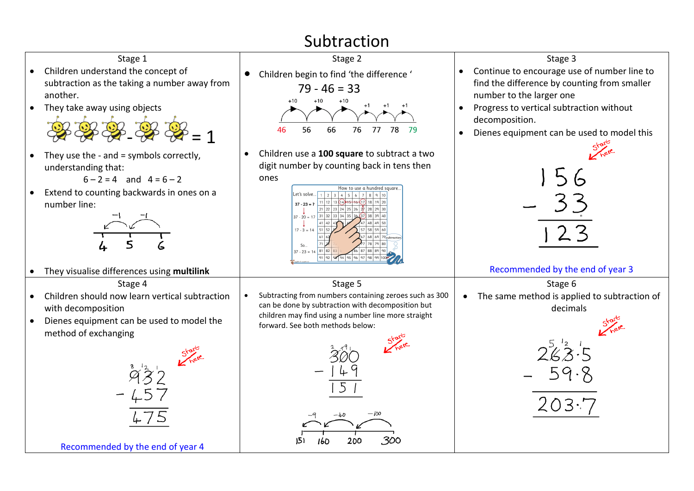## Subtraction



Recommended by the end of year 4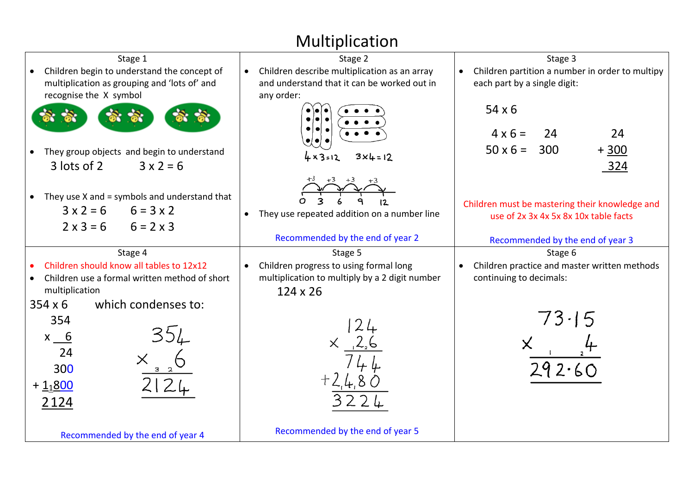## Multiplication